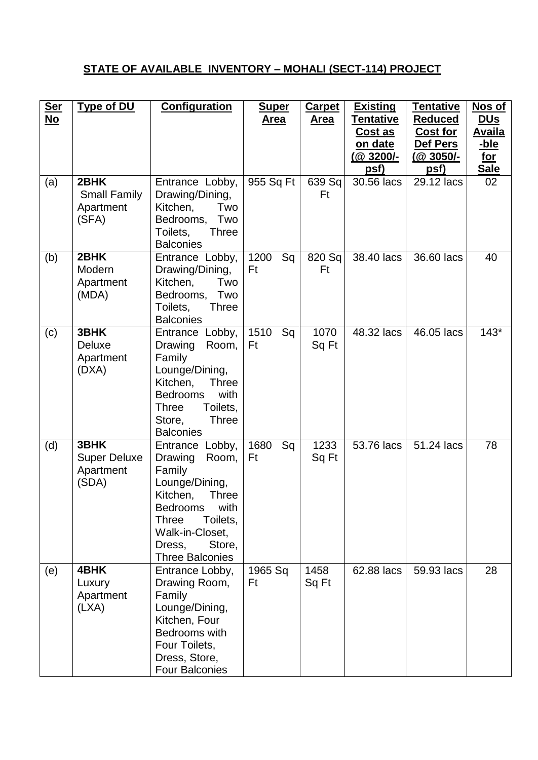## **STATE OF AVAILABLE INVENTORY – MOHALI (SECT-114) PROJECT**

| <u>Ser</u><br><u>No</u> | <b>Type of DU</b>                                 | <b>Configuration</b>                                                                                                                                                                                         | <b>Super</b><br><b>Area</b> | <b>Carpet</b><br><u>Area</u> | <b>Existing</b><br>Tentative<br><u>Cost as</u><br>on date | <b>Tentative</b><br><b>Reduced</b><br><b>Cost for</b><br>Def Pers | Nos of<br><u>DUs</u><br><b>Availa</b><br><u>-ble</u> |
|-------------------------|---------------------------------------------------|--------------------------------------------------------------------------------------------------------------------------------------------------------------------------------------------------------------|-----------------------------|------------------------------|-----------------------------------------------------------|-------------------------------------------------------------------|------------------------------------------------------|
|                         |                                                   |                                                                                                                                                                                                              |                             |                              | $(@3200/-$<br>psf)                                        | <u>(@ 3050/-</u><br>psf)                                          | <u>for</u><br><b>Sale</b>                            |
| (a)                     | 2BHK<br><b>Small Family</b><br>Apartment<br>(SFA) | Entrance Lobby,<br>Drawing/Dining,<br>Kitchen,<br>Two<br>Bedrooms,<br>Two<br>Three<br>Toilets,<br><b>Balconies</b>                                                                                           | 955 Sq Ft                   | 639 Sq<br>Ft                 | 30.56 lacs                                                | 29.12 lacs                                                        | 02                                                   |
| (b)                     | 2BHK<br>Modern<br>Apartment<br>(MDA)              | Entrance Lobby,<br>Drawing/Dining,<br>Kitchen.<br>Two<br>Bedrooms,<br>Two<br>Toilets,<br><b>Three</b><br><b>Balconies</b>                                                                                    | 1200<br>Sq<br>Ft            | 820 Sq<br>Ft                 | 38.40 lacs                                                | 36.60 lacs                                                        | 40                                                   |
| (c)                     | 3BHK<br>Deluxe<br>Apartment<br>(DXA)              | Entrance Lobby,<br>Drawing<br>Room,<br>Family<br>Lounge/Dining,<br>Kitchen,<br><b>Three</b><br>with<br><b>Bedrooms</b><br>Toilets,<br><b>Three</b><br>Store,<br><b>Three</b><br><b>Balconies</b>             | 1510<br>Sq<br>Ft            | 1070<br>Sq Ft                | 48.32 lacs                                                | 46.05 lacs                                                        | $143*$                                               |
| (d)                     | 3BHK<br><b>Super Deluxe</b><br>Apartment<br>(SDA) | Entrance Lobby,<br>Drawing<br>Room,<br>Family<br>Lounge/Dining,<br>Kitchen,<br><b>Three</b><br><b>Bedrooms</b><br>with<br>Toilets,<br>Three<br>Walk-in-Closet,<br>Store,<br>Dress,<br><b>Three Balconies</b> | 1680<br>Sq<br>Ft            | 1233<br>Sq Ft                | 53.76 lacs                                                | 51.24 lacs                                                        | 78                                                   |
| (e)                     | 4BHK<br>Luxury<br>Apartment<br>(LXA)              | Entrance Lobby,<br>Drawing Room,<br>Family<br>Lounge/Dining,<br>Kitchen, Four<br>Bedrooms with<br>Four Toilets,<br>Dress, Store,<br><b>Four Balconies</b>                                                    | 1965 Sq<br>Ft               | 1458<br>Sq Ft                | 62.88 lacs                                                | 59.93 lacs                                                        | 28                                                   |